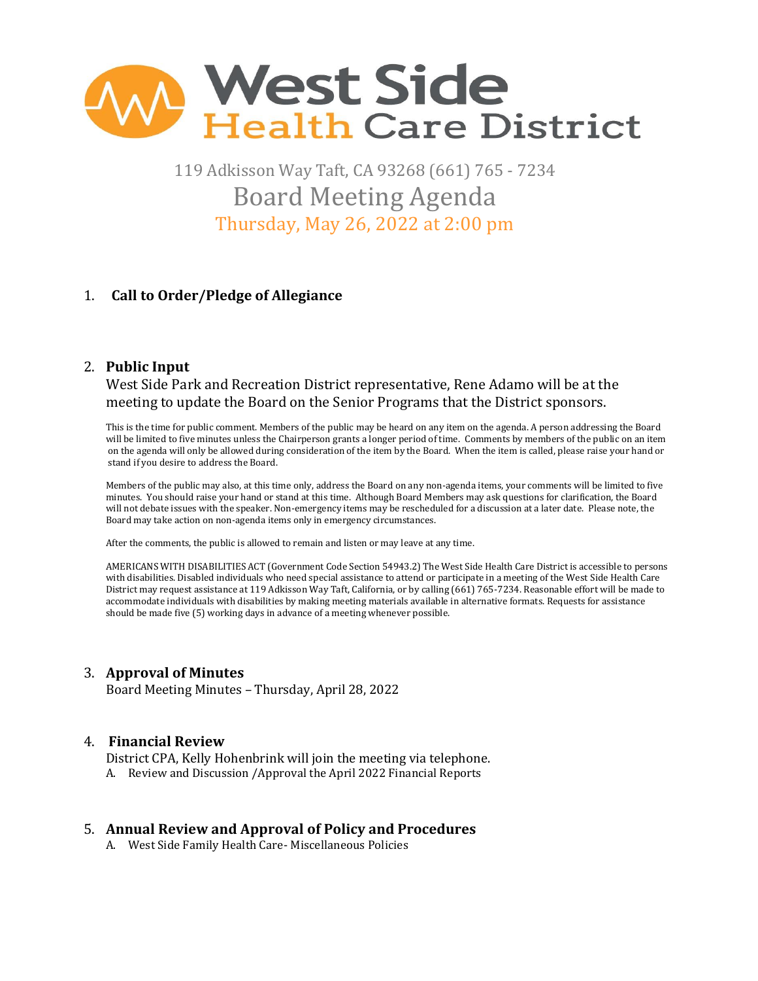

119 Adkisson Way Taft, CA 93268 (661) 765 - 7234 Board Meeting Agenda Thursday, May 26, 2022 at 2:00 pm

# 1. **Call to Order/Pledge of Allegiance**

## 2. **Public Input**

West Side Park and Recreation District representative, Rene Adamo will be at the meeting to update the Board on the Senior Programs that the District sponsors.

 This is the time for public comment. Members of the public may be heard on any item on the agenda. A person addressing the Board will be limited to five minutes unless the Chairperson grants a longer period of time. Comments by members of the public on an item on the agenda will only be allowed during consideration of the item by the Board. When the item is called, please raise your hand or stand if you desire to address the Board.

Members of the public may also, at this time only, address the Board on any non-agenda items, your comments will be limited to five minutes. You should raise your hand or stand at this time. Although Board Members may ask questions for clarification, the Board will not debate issues with the speaker. Non-emergency items may be rescheduled for a discussion at a later date. Please note, the Board may take action on non-agenda items only in emergency circumstances.

After the comments, the public is allowed to remain and listen or may leave at any time.

 AMERICANS WITH DISABILITIES ACT (Government Code Section 54943.2) The West Side Health Care District is accessible to persons with disabilities. Disabled individuals who need special assistance to attend or participate in a meeting of the West Side Health Care District may request assistance at 119 Adkisson Way Taft, California, or by calling (661) 765-7234. Reasonable effort will be made to accommodate individuals with disabilities by making meeting materials available in alternative formats. Requests for assistance should be made five (5) working days in advance of a meeting whenever possible.

## 3. **Approval of Minutes**

Board Meeting Minutes – Thursday, April 28, 2022

## 4. **Financial Review**

District CPA, Kelly Hohenbrink will join the meeting via telephone. A. Review and Discussion /Approval the April 2022 Financial Reports

## 5. **Annual Review and Approval of Policy and Procedures**

A. West Side Family Health Care- Miscellaneous Policies